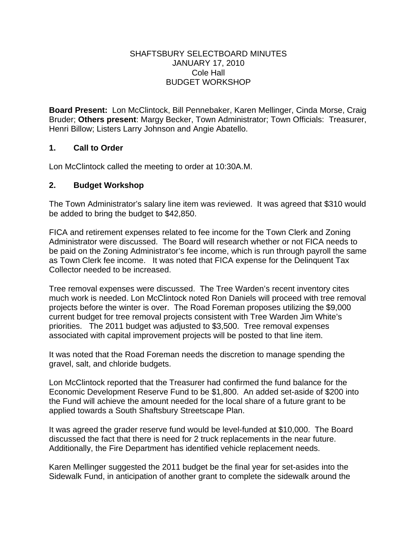#### SHAFTSBURY SELECTBOARD MINUTES JANUARY 17, 2010 Cole Hall BUDGET WORKSHOP

**Board Present:** Lon McClintock, Bill Pennebaker, Karen Mellinger, Cinda Morse, Craig Bruder; **Others present**: Margy Becker, Town Administrator; Town Officials: Treasurer, Henri Billow; Listers Larry Johnson and Angie Abatello.

### **1. Call to Order**

Lon McClintock called the meeting to order at 10:30A.M.

## **2. Budget Workshop**

The Town Administrator's salary line item was reviewed. It was agreed that \$310 would be added to bring the budget to \$42,850.

FICA and retirement expenses related to fee income for the Town Clerk and Zoning Administrator were discussed. The Board will research whether or not FICA needs to be paid on the Zoning Administrator's fee income, which is run through payroll the same as Town Clerk fee income. It was noted that FICA expense for the Delinquent Tax Collector needed to be increased.

Tree removal expenses were discussed. The Tree Warden's recent inventory cites much work is needed. Lon McClintock noted Ron Daniels will proceed with tree removal projects before the winter is over. The Road Foreman proposes utilizing the \$9,000 current budget for tree removal projects consistent with Tree Warden Jim White's priorities. The 2011 budget was adjusted to \$3,500. Tree removal expenses associated with capital improvement projects will be posted to that line item.

It was noted that the Road Foreman needs the discretion to manage spending the gravel, salt, and chloride budgets.

Lon McClintock reported that the Treasurer had confirmed the fund balance for the Economic Development Reserve Fund to be \$1,800. An added set-aside of \$200 into the Fund will achieve the amount needed for the local share of a future grant to be applied towards a South Shaftsbury Streetscape Plan.

It was agreed the grader reserve fund would be level-funded at \$10,000. The Board discussed the fact that there is need for 2 truck replacements in the near future. Additionally, the Fire Department has identified vehicle replacement needs.

Karen Mellinger suggested the 2011 budget be the final year for set-asides into the Sidewalk Fund, in anticipation of another grant to complete the sidewalk around the